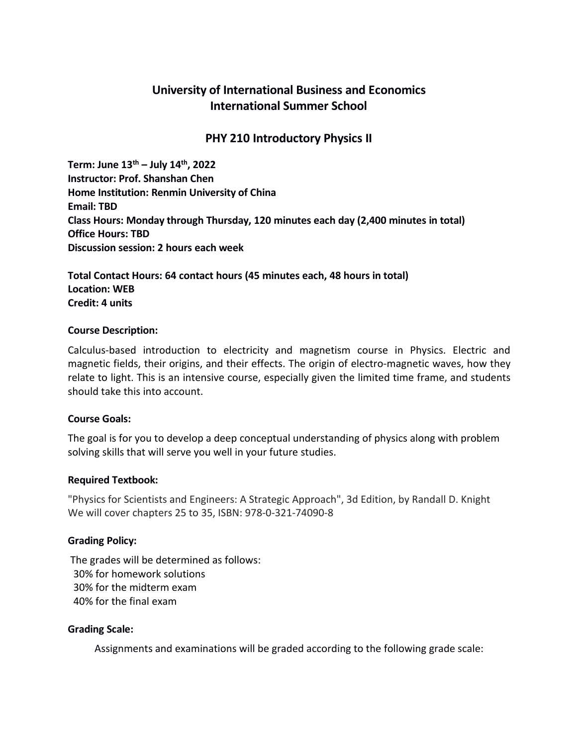# **University of International Business and Economics International Summer School**

## **PHY 210 Introductory Physics II**

**Term: June 13 th – July 14 th , 2022 Instructor: Prof. Shanshan Chen Home Institution: Renmin University of China Email: TBD Class Hours: Monday through Thursday, 120 minutes each day (2,400 minutes in total) Office Hours: TBD Discussion session: 2 hours each week**

**Total Contact Hours: 64 contact hours (45 minutes each, 48 hours in total) Location: WEB Credit: 4 units**

#### **Course Description:**

Calculus-based introduction to electricity and magnetism course in Physics. Electric and magnetic fields, their origins, and their effects. The origin of electro-magnetic waves, how they relate to light. This is an intensive course, especially given the limited time frame, and students should take this into account.

### **Course Goals:**

The goal is for you to develop a deep conceptual understanding of physics along with problem solving skills that will serve you well in your future studies.

### **Required Textbook:**

"Physics for Scientists and Engineers: A Strategic Approach", 3d Edition, by Randall D. Knight We will cover chapters 25 to 35, ISBN: 978-0-321-74090-8

### **Grading Policy:**

The grades will be determined as follows: 30% for homework solutions 30% for the midterm exam 40% for the final exam

### **Grading Scale:**

Assignments and examinations will be graded according to the following grade scale: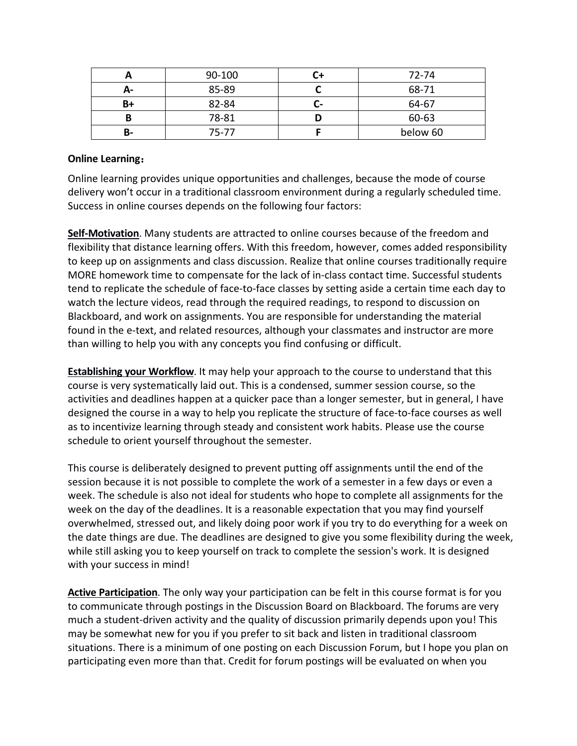|      | 90-100 |    | 72-74    |
|------|--------|----|----------|
| $A-$ | 85-89  |    | 68-71    |
| B+   | 82-84  | u- | 64-67    |
|      | 78-81  |    | 60-63    |
| В-   | 75-77  |    | below 60 |

### **Online Learning**:

Online learning provides unique opportunities and challenges, because the mode of course delivery won't occur in a traditional classroom environment during a regularly scheduled time. Success in online courses depends on the following four factors:

**Self-Motivation**. Many students are attracted to online courses because of the freedom and flexibility that distance learning offers. With this freedom, however, comes added responsibility to keep up on assignments and class discussion. Realize that online courses traditionally require MORE homework time to compensate for the lack of in-class contact time. Successful students tend to replicate the schedule of face-to-face classes by setting aside a certain time each day to watch the lecture videos, read through the required readings, to respond to discussion on Blackboard, and work on assignments. You are responsible for understanding the material found in the e-text, and related resources, although your classmates and instructor are more than willing to help you with any concepts you find confusing or difficult.

**Establishing your Workflow**. It may help your approach to the course to understand that this course is very systematically laid out. This is a condensed, summer session course, so the activities and deadlines happen at a quicker pace than a longer semester, but in general, I have designed the course in a way to help you replicate the structure of face-to-face courses as well as to incentivize learning through steady and consistent work habits. Please use the course schedule to orient yourself throughout the semester.

This course is deliberately designed to prevent putting off assignments until the end of the session because it is not possible to complete the work of a semester in a few days or even a week. The schedule is also not ideal for students who hope to complete all assignments for the week on the day of the deadlines. It is a reasonable expectation that you may find yourself overwhelmed, stressed out, and likely doing poor work if you try to do everything for a week on the date things are due. The deadlines are designed to give you some flexibility during the week, while still asking you to keep yourself on track to complete the session's work. It is designed with your success in mind!

**Active Participation**. The only way your participation can be felt in this course format is for you to communicate through postings in the Discussion Board on Blackboard. The forums are very much a student-driven activity and the quality of discussion primarily depends upon you! This may be somewhat new for you if you prefer to sit back and listen in traditional classroom situations. There is a minimum of one posting on each Discussion Forum, but I hope you plan on participating even more than that. Credit for forum postings will be evaluated on when you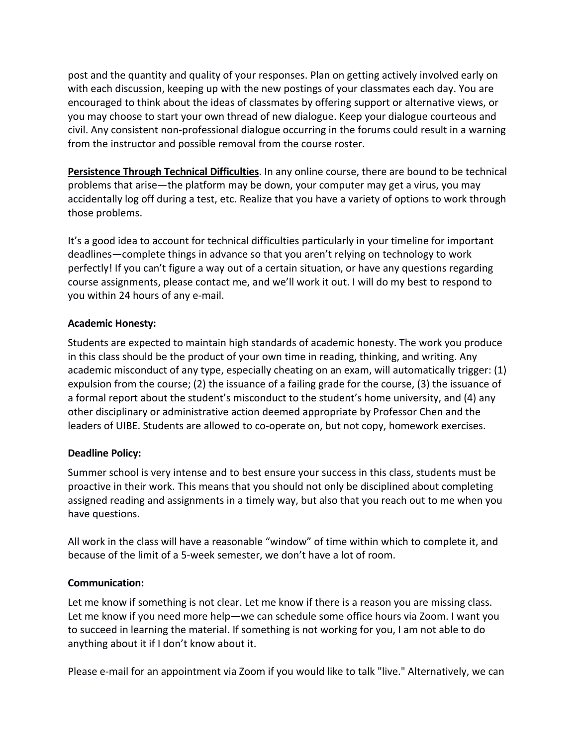post and the quantity and quality of your responses. Plan on getting actively involved early on with each discussion, keeping up with the new postings of your classmates each day. You are encouraged to think about the ideas of classmates by offering support or alternative views, or you may choose to start your own thread of new dialogue. Keep your dialogue courteous and civil. Any consistent non-professional dialogue occurring in the forums could result in a warning from the instructor and possible removal from the course roster.

**Persistence Through Technical Difficulties**. In any online course, there are bound to be technical problems that arise—the platform may be down, your computer may get a virus, you may accidentally log off during a test, etc. Realize that you have a variety of options to work through those problems.

It's a good idea to account for technical difficulties particularly in your timeline for important deadlines—complete things in advance so that you aren't relying on technology to work perfectly! If you can't figure a way out of a certain situation, or have any questions regarding course assignments, please contact me, and we'll work it out. I will do my best to respond to you within 24 hours of any e-mail.

### **Academic Honesty:**

Students are expected to maintain high standards of academic honesty. The work you produce in this class should be the product of your own time in reading, thinking, and writing. Any academic misconduct of any type, especially cheating on an exam, will automatically trigger: (1) expulsion from the course; (2) the issuance of a failing grade for the course, (3) the issuance of a formal report about the student's misconduct to the student's home university, and (4) any other disciplinary or administrative action deemed appropriate by Professor Chen and the leaders of UIBE. Students are allowed to co-operate on, but not copy, homework exercises.

### **Deadline Policy:**

Summer school is very intense and to best ensure your success in this class, students must be proactive in their work. This means that you should not only be disciplined about completing assigned reading and assignments in a timely way, but also that you reach out to me when you have questions.

All work in the class will have a reasonable "window" of time within which to complete it, and because of the limit of a 5-week semester, we don't have a lot of room.

### **Communication:**

Let me know if something is not clear. Let me know if there is a reason you are missing class. Let me know if you need more help—we can schedule some office hours via Zoom. I want you to succeed in learning the material. If something is not working for you, I am not able to do anything about it if I don't know about it.

Please e-mail for an appointment via Zoom if you would like to talk "live." Alternatively, we can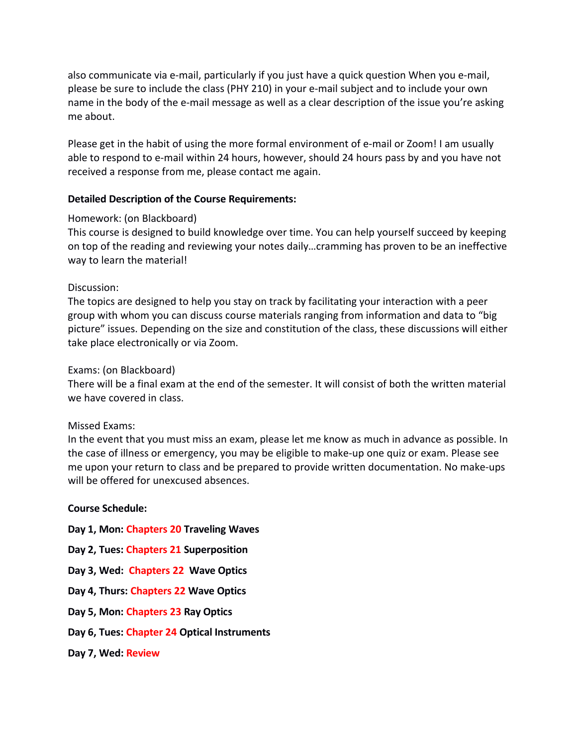also communicate via e-mail, particularly if you just have a quick question When you e-mail, please be sure to include the class (PHY 210) in your e-mail subject and to include your own name in the body of the e-mail message as well as a clear description of the issue you're asking me about.

Please get in the habit of using the more formal environment of e-mail or Zoom! I am usually able to respond to e-mail within 24 hours, however, should 24 hours pass by and you have not received a response from me, please contact me again.

### **Detailed Description of the Course Requirements:**

### Homework: (on Blackboard)

This course is designed to build knowledge over time. You can help yourself succeed by keeping on top of the reading and reviewing your notes daily…cramming has proven to be an ineffective way to learn the material!

### Discussion:

The topics are designed to help you stay on track by facilitating your interaction with a peer group with whom you can discuss course materials ranging from information and data to "big picture" issues. Depending on the size and constitution of the class, these discussions will either take place electronically or via Zoom.

### Exams: (on Blackboard)

There will be a final exam at the end of the semester. It will consist of both the written material we have covered in class.

### Missed Exams:

In the event that you must miss an exam, please let me know as much in advance as possible. In the case of illness or emergency, you may be eligible to make-up one quiz or exam. Please see me upon your return to class and be prepared to provide written documentation. No make-ups will be offered for unexcused absences.

### **Course Schedule:**

- **Day 1, Mon: Chapters 20 Traveling Waves**
- **Day 2, Tues: Chapters 21 Superposition**
- **Day 3, Wed: Chapters 22 Wave Optics**
- **Day 4, Thurs: Chapters 22 Wave Optics**
- **Day 5, Mon: Chapters 23 Ray Optics**
- **Day 6, Tues: Chapter 24 Optical Instruments**
- **Day 7, Wed: Review**